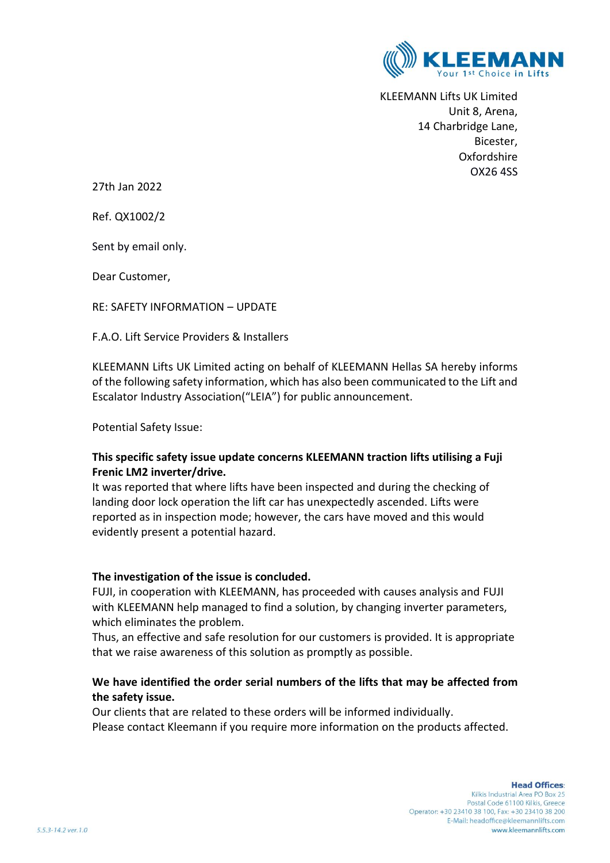

KLEEMANN Lifts UK Limited Unit 8, Arena, 14 Charbridge Lane, Bicester, Oxfordshire OX26 4SS

27th Jan 2022

Ref. QX1002/2

Sent by email only.

Dear Customer,

RE: SAFETY INFORMATION – UPDATE

F.A.O. Lift Service Providers & Installers

KLEEMANN Lifts UK Limited acting on behalf of KLEEMANN Hellas SA hereby informs of the following safety information, which has also been communicated to the Lift and Escalator Industry Association("LEIA") for public announcement.

Potential Safety Issue:

### **This specific safety issue update concerns KLEEMANN traction lifts utilising a Fuji Frenic LM2 inverter/drive.**

It was reported that where lifts have been inspected and during the checking of landing door lock operation the lift car has unexpectedly ascended. Lifts were reported as in inspection mode; however, the cars have moved and this would evidently present a potential hazard.

#### **The investigation of the issue is concluded.**

FUJI, in cooperation with KLEEMANN, has proceeded with causes analysis and FUJI with KLEEMANN help managed to find a solution, by changing inverter parameters, which eliminates the problem.

Thus, an effective and safe resolution for our customers is provided. It is appropriate that we raise awareness of this solution as promptly as possible.

## **We have identified the order serial numbers of the lifts that may be affected from the safety issue.**

Our clients that are related to these orders will be informed individually. Please contact Kleemann if you require more information on the products affected.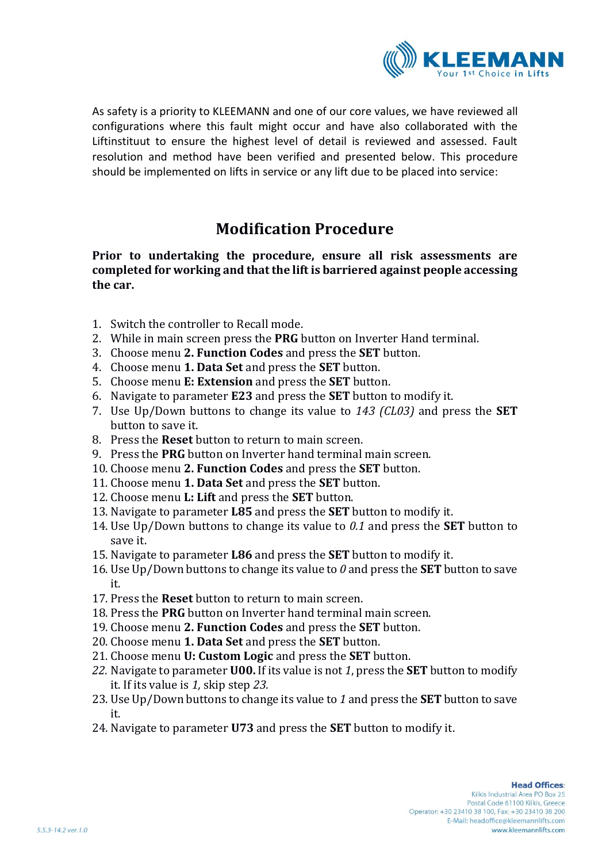

As safety is a priority to KLEEMANN and one of our core values, we have reviewed all configurations where this fault might occur and have also collaborated with the Liftinstituut to ensure the highest level of detail is reviewed and assessed. Fault resolution and method have been verified and presented below. This procedure should be implemented on lifts in service or any lift due to be placed into service:

# **Modification Procedure**

**Prior to undertaking the procedure, ensure all risk assessments are completed for working and that the lift is barriered against people accessing the car.**

- 1. Switch the controller to Recall mode.
- 2. While in main screen press the **PRG** button on Inverter Hand terminal.
- 3. Choose menu **2. Function Codes** and press the **SET** button.
- 4. Choose menu **1. Data Set** and press the **SET** button.
- 5. Choose menu **E: Extension** and press the **SET** button.
- 6. Navigate to parameter **E23** and press the **SET** button to modify it.
- <span id="page-1-1"></span>7. Use Up/Down buttons to change its value to *143 (CL03)* and press the **SET** button to save it.
- 8. Press the **Reset** button to return to main screen.
- 9. Press the **PRG** button on Inverter hand terminal main screen.
- 10. Choose menu **2. Function Codes** and press the **SET** button.
- 11. Choose menu **1. Data Set** and press the **SET** button.
- 12. Choose menu **L: Lift** and press the **SET** button.
- 13. Navigate to parameter **L85** and press the **SET** button to modify it.
- <span id="page-1-2"></span>14. Use Up/Down buttons to change its value to *0.1* and press the **SET** button to save it.
- 15. Navigate to parameter **L86** and press the **SET** button to modify it.
- <span id="page-1-3"></span>16. Use Up/Down buttons to change its value to *0* and press the **SET** button to save it.
- 17. Press the **Reset** button to return to main screen.
- 18. Press the **PRG** button on Inverter hand terminal main screen.
- 19. Choose menu **2. Function Codes** and press the **SET** button.
- 20. Choose menu **1. Data Set** and press the **SET** button.
- 21. Choose menu **U: Custom Logic** and press the **SET** button.
- <span id="page-1-4"></span>*22.* Navigate to parameter **U00.** If its value is not *1*, press the **SET** button to modify it. If its value is *1,* skip step *[23.](#page-1-0)*
- <span id="page-1-0"></span>23. Use Up/Down buttons to change its value to *1* and press the **SET** button to save it.
- 24. Navigate to parameter **U73** and press the **SET** button to modify it.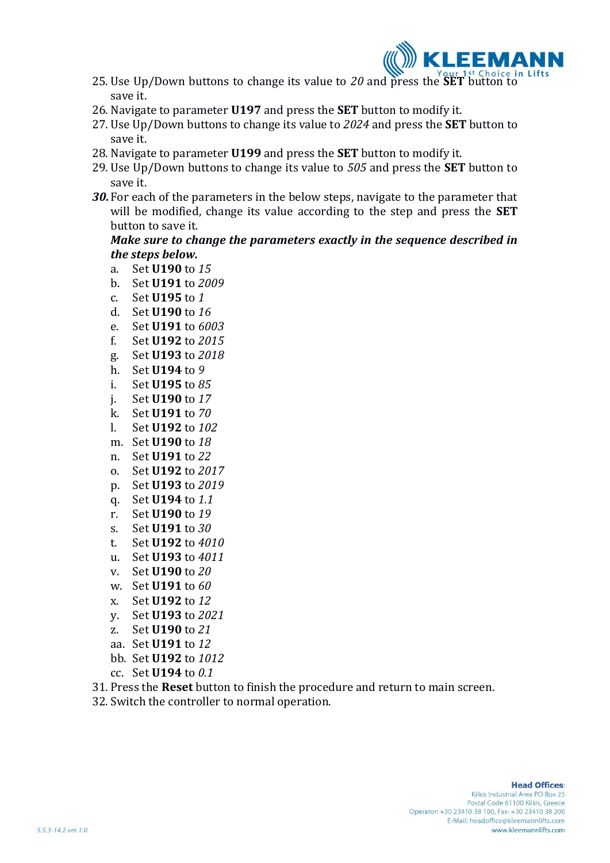

- <span id="page-2-0"></span>25. Use Up/Down buttons to change its value to *20* and press the **SET** button to save it.
- 26. Navigate to parameter **U197** and press the **SET** button to modify it.
- <span id="page-2-1"></span>27. Use Up/Down buttons to change its value to *2024* and press the **SET** button to save it.
- 28. Navigate to parameter **U199** and press the **SET** button to modify it.
- <span id="page-2-2"></span>29. Use Up/Down buttons to change its value to *505* and press the **SET** button to save it.
- *30.* For each of the parameters in the below steps, navigate to the parameter that will be modified, change its value according to the step and press the **SET** button to save it.

### *Make sure to change the parameters exactly in the sequence described in the steps below.*

- <span id="page-2-3"></span>a. Set **U190** to *15*
- b. Set **U191** to *2009*
- <span id="page-2-4"></span>c. Set **U195** to *1*
- <span id="page-2-5"></span>d. Set **U190** to *16*
- e. Set **U191** to *6003*
- f. Set **U192** to *2015*
- g. Set **U193** to *2018*
- h. Set **U194** to *9*
- <span id="page-2-6"></span>i. Set **U195** to *85*
- <span id="page-2-7"></span>j. Set **U190** to *17*
- k. Set **U191** to *70*
- <span id="page-2-8"></span>l. Set **U192** to *102*
- <span id="page-2-9"></span>m. Set **U190** to *18*
- n. Set **U191** to *22*
- o. Set **U192** to *2017*
- p. Set **U193** to *2019*
- <span id="page-2-10"></span>q. Set **U194** to *1.1*
- <span id="page-2-11"></span>r. Set **U190** to *19*
- s. Set **U191** to *30*
- t. Set **U192** to *4010*
- <span id="page-2-12"></span>u. Set **U193** to *4011*
- <span id="page-2-13"></span>v. Set **U190** to *20*
- w. Set **U191** to *60*
- x. Set **U192** to *12*
- <span id="page-2-14"></span>y. Set **U193** to *2021*
- <span id="page-2-15"></span>z. Set **U190** to *21*
- aa. Set **U191** to *12*
- bb. Set **U192** to *1012*
- cc. Set **U194** to *0.1*
- <span id="page-2-16"></span>31. Press the **Reset** button to finish the procedure and return to main screen.
- 32. Switch the controller to normal operation.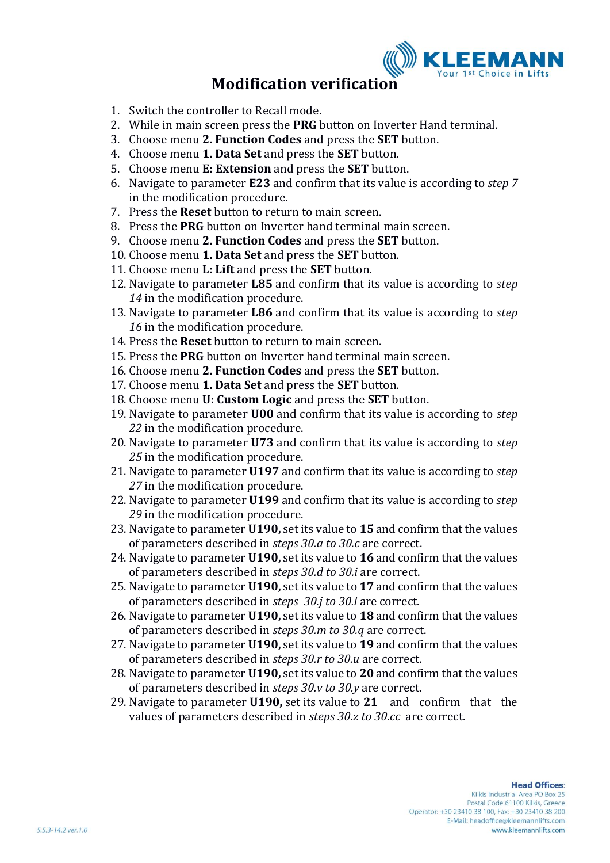

## **Modification verification**

- 1. Switch the controller to Recall mode.
- 2. While in main screen press the **PRG** button on Inverter Hand terminal.
- 3. Choose menu **2. Function Codes** and press the **SET** button.
- 4. Choose menu **1. Data Set** and press the **SET** button.
- 5. Choose menu **E: Extension** and press the **SET** button.
- 6. Navigate to parameter **E23** and confirm that its value is according to *step [7](#page-1-1)* in the modification procedure.
- 7. Press the **Reset** button to return to main screen.
- 8. Press the **PRG** button on Inverter hand terminal main screen.
- 9. Choose menu **2. Function Codes** and press the **SET** button.
- 10. Choose menu **1. Data Set** and press the **SET** button.
- 11. Choose menu **L: Lift** and press the **SET** button.
- 12. Navigate to parameter **L85** and confirm that its value is according to *step [14](#page-1-2)* in the modification procedure.
- 13. Navigate to parameter **L86** and confirm that its value is according to *step [16](#page-1-3)* in the modification procedure.
- 14. Press the **Reset** button to return to main screen.
- 15. Press the **PRG** button on Inverter hand terminal main screen.
- 16. Choose menu **2. Function Codes** and press the **SET** button.
- 17. Choose menu **1. Data Set** and press the **SET** button.
- 18. Choose menu **U: Custom Logic** and press the **SET** button.
- 19. Navigate to parameter **U00** and confirm that its value is according to *step [22](#page-1-4)* in the modification procedure.
- 20. Navigate to parameter **U73** and confirm that its value is according to *step [25](#page-2-0)* in the modification procedure.
- 21. Navigate to parameter **U197** and confirm that its value is according to *step [27](#page-2-1)* in the modification procedure.
- 22. Navigate to parameter **U199** and confirm that its value is according to *step [29](#page-2-2)* in the modification procedure.
- 23. Navigate to parameter **U190,** set its value to **15** and confirm that the values of parameters described in *steps [30.a](#page-2-3) to [30.c](#page-2-4)* are correct.
- 24. Navigate to parameter **U190,** set its value to **16** and confirm that the values of parameters described in *steps [30.d](#page-2-5) to [30.i](#page-2-6)* are correct.
- 25. Navigate to parameter **U190,** set its value to **17** and confirm that the values of parameters described in *steps [30.j](#page-2-7) to [30.l](#page-2-8)* are correct.
- 26. Navigate to parameter **U190,** set its value to **18** and confirm that the values of parameters described in *steps [30.m](#page-2-9) to [30.q](#page-2-10)* are correct.
- 27. Navigate to parameter **U190,** set its value to **19** and confirm that the values of parameters described in *steps [30.r](#page-2-11) to [30.u](#page-2-12)* are correct.
- 28. Navigate to parameter **U190,** set its value to **20** and confirm that the values of parameters described in *steps [30.v](#page-2-13) to [30.y](#page-2-14)* are correct.
- 29. Navigate to parameter **U190,** set its value to **21** and confirm that the values of parameters described in *steps [30.z](#page-2-15) to [30.cc](#page-2-16)* are correct.